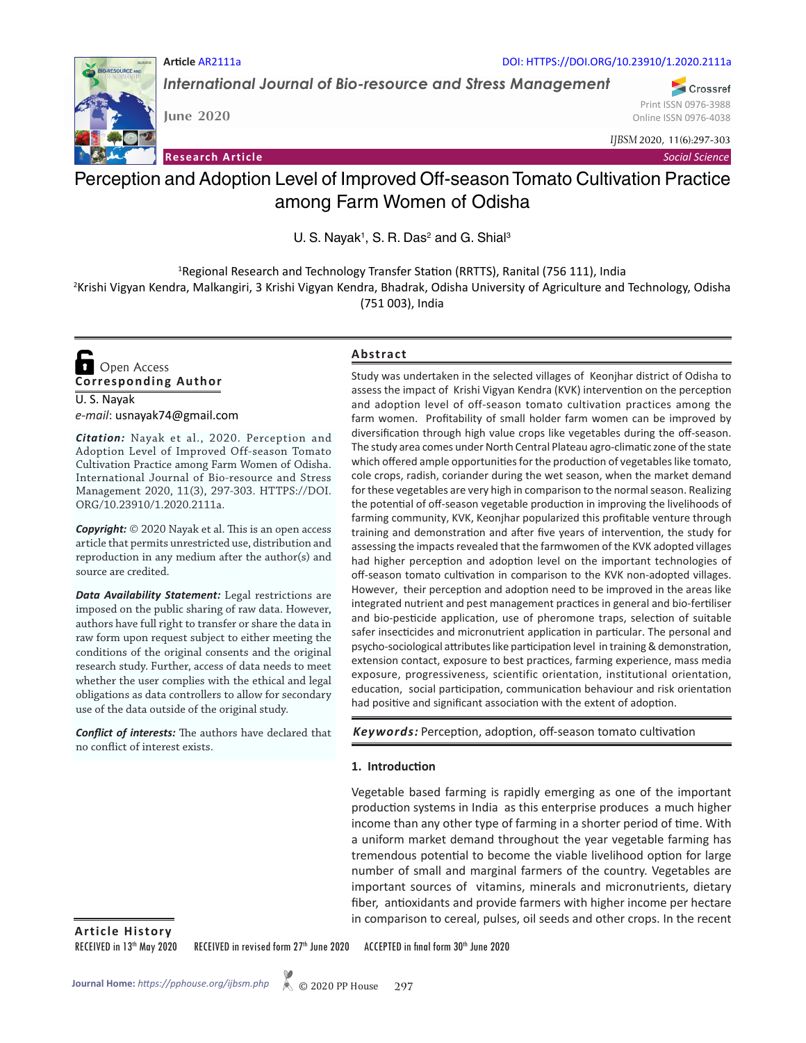

*International Journal of Bio-resource and Stress Management*

DOI: HTTPS://DOI.ORG/10.23910/1.2020.2111a

Crossref Print ISSN 0976-3988 Online ISSN 0976-4038

*IJBSM* 2020, 11(6):297-303

**Research Article**

**June 2020**

**Article** AR2111a

*Social Science*

# Perception and Adoption Level of Improved Off-season Tomato Cultivation Practice among Farm Women of Odisha

U. S. Nayak<sup>1</sup>, S. R. Das<sup>2</sup> and G. Shial<sup>3</sup>

<sup>1</sup>Regional Research and Technology Transfer Station (RRTTS), Ranital (756 111), India

2 Krishi Vigyan Kendra, Malkangiri, 3 Krishi Vigyan Kendra, Bhadrak, Odisha University of Agriculture and Technology, Odisha (751 003), India

**Corresponding Author**  Open Access

U. S. Nayak *e-mail*: usnayak74@gmail.com

*Citation:* Nayak et al., 2020. Perception and Adoption Level of Improved Off-season Tomato Cultivation Practice among Farm Women of Odisha. International Journal of Bio-resource and Stress Management 2020, 11(3), 297-303. HTTPS://DOI. ORG/10.23910/1.2020.2111a.

*Copyright:* © 2020 Nayak et al. This is an open access article that permits unrestricted use, distribution and reproduction in any medium after the author(s) and source are credited.

*Data Availability Statement:* Legal restrictions are imposed on the public sharing of raw data. However, authors have full right to transfer or share the data in raw form upon request subject to either meeting the conditions of the original consents and the original research study. Further, access of data needs to meet whether the user complies with the ethical and legal obligations as data controllers to allow for secondary use of the data outside of the original study.

*Conflict of interests:* The authors have declared that no conflict of interest exists.

## **Abstract**

Study was undertaken in the selected villages of Keonjhar district of Odisha to assess the impact of Krishi Vigyan Kendra (KVK) intervention on the perception and adoption level of off-season tomato cultivation practices among the farm women. Profitability of small holder farm women can be improved by diversification through high value crops like vegetables during the off-season. The study area comes under North Central Plateau agro-climatic zone of the state which offered ample opportunities for the production of vegetables like tomato, cole crops, radish, coriander during the wet season, when the market demand for these vegetables are very high in comparison to the normal season. Realizing the potential of off-season vegetable production in improving the livelihoods of farming community, KVK, Keonjhar popularized this profitable venture through training and demonstration and after five years of intervention, the study for assessing the impacts revealed that the farmwomen of the KVK adopted villages had higher perception and adoption level on the important technologies of off-season tomato cultivation in comparison to the KVK non-adopted villages. However, their perception and adoption need to be improved in the areas like integrated nutrient and pest management practices in general and bio-fertiliser and bio-pesticide application, use of pheromone traps, selection of suitable safer insecticides and micronutrient application in particular. The personal and psycho-sociological attributes like participation level in training & demonstration, extension contact, exposure to best practices, farming experience, mass media exposure, progressiveness, scientific orientation, institutional orientation, education, social participation, communication behaviour and risk orientation had positive and significant association with the extent of adoption.

*Keywords:* Perception, adoption, off-season tomato cultivation

### **1. Introduction**

Vegetable based farming is rapidly emerging as one of the important production systems in India as this enterprise produces a much higher income than any other type of farming in a shorter period of time. With a uniform market demand throughout the year vegetable farming has tremendous potential to become the viable livelihood option for large number of small and marginal farmers of the country. Vegetables are important sources of vitamins, minerals and micronutrients, dietary fiber, antioxidants and provide farmers with higher income per hectare in comparison to cereal, pulses, oil seeds and other crops. In the recent

**Article History**

RECEIVED in 13<sup>th</sup> May 2020 RECEIVED in revised form 27<sup>th</sup> June 2020 ACCEPTED in final form 30<sup>th</sup> June 2020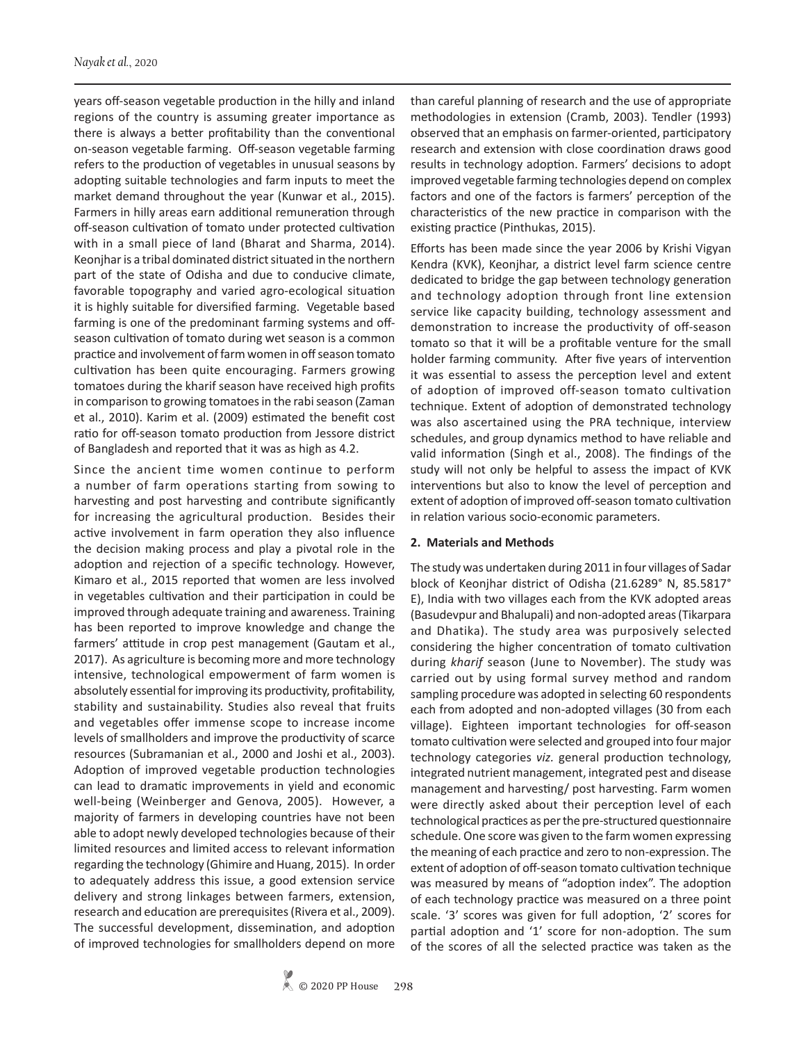years off-season vegetable production in the hilly and inland regions of the country is assuming greater importance as there is always a better profitability than the conventional on-season vegetable farming. Off-season vegetable farming refers to the production of vegetables in unusual seasons by adopting suitable technologies and farm inputs to meet the market demand throughout the year (Kunwar et al., 2015). Farmers in hilly areas earn additional remuneration through off-season cultivation of tomato under protected cultivation with in a small piece of land (Bharat and Sharma, 2014). Keonjhar is a tribal dominated district situated in the northern part of the state of Odisha and due to conducive climate, favorable topography and varied agro-ecological situation it is highly suitable for diversified farming. Vegetable based farming is one of the predominant farming systems and offseason cultivation of tomato during wet season is a common practice and involvement of farm women in off season tomato cultivation has been quite encouraging. Farmers growing tomatoes during the kharif season have received high profits in comparison to growing tomatoes in the rabi season (Zaman et al., 2010). Karim et al. (2009) estimated the benefit cost ratio for off-season tomato production from Jessore district of Bangladesh and reported that it was as high as 4.2.

Since the ancient time women continue to perform a number of farm operations starting from sowing to harvesting and post harvesting and contribute significantly for increasing the agricultural production. Besides their active involvement in farm operation they also influence the decision making process and play a pivotal role in the adoption and rejection of a specific technology. However, Kimaro et al., 2015 reported that women are less involved in vegetables cultivation and their participation in could be improved through adequate training and awareness. Training has been reported to improve knowledge and change the farmers' attitude in crop pest management (Gautam et al., 2017). As agriculture is becoming more and more technology intensive, technological empowerment of farm women is absolutely essential for improving its productivity, profitability, stability and sustainability. Studies also reveal that fruits and vegetables offer immense scope to increase income levels of smallholders and improve the productivity of scarce resources (Subramanian et al., 2000 and Joshi et al., 2003). Adoption of improved vegetable production technologies can lead to dramatic improvements in yield and economic well-being (Weinberger and Genova, 2005). However, a majority of farmers in developing countries have not been able to adopt newly developed technologies because of their limited resources and limited access to relevant information regarding the technology (Ghimire and Huang, 2015). In order to adequately address this issue, a good extension service delivery and strong linkages between farmers, extension, research and education are prerequisites (Rivera et al., 2009). The successful development, dissemination, and adoption of improved technologies for smallholders depend on more

than careful planning of research and the use of appropriate methodologies in extension (Cramb, 2003). Tendler (1993) observed that an emphasis on farmer-oriented, participatory research and extension with close coordination draws good results in technology adoption. Farmers' decisions to adopt improved vegetable farming technologies depend on complex factors and one of the factors is farmers' perception of the characteristics of the new practice in comparison with the existing practice (Pinthukas, 2015).

Efforts has been made since the year 2006 by Krishi Vigyan Kendra (KVK), Keonjhar, a district level farm science centre dedicated to bridge the gap between technology generation and technology adoption through front line extension service like capacity building, technology assessment and demonstration to increase the productivity of off-season tomato so that it will be a profitable venture for the small holder farming community. After five years of intervention it was essential to assess the perception level and extent of adoption of improved off-season tomato cultivation technique. Extent of adoption of demonstrated technology was also ascertained using the PRA technique, interview schedules, and group dynamics method to have reliable and valid information (Singh et al., 2008). The findings of the study will not only be helpful to assess the impact of KVK interventions but also to know the level of perception and extent of adoption of improved off-season tomato cultivation in relation various socio-economic parameters.

### **2. Materials and Methods**

The study was undertaken during 2011 in four villages of Sadar block of Keonjhar district of Odisha (21.6289° N, 85.5817° E), India with two villages each from the KVK adopted areas (Basudevpur and Bhalupali) and non-adopted areas (Tikarpara and Dhatika). The study area was purposively selected considering the higher concentration of tomato cultivation during *kharif* season (June to November). The study was carried out by using formal survey method and random sampling procedure was adopted in selecting 60 respondents each from adopted and non-adopted villages (30 from each village). Eighteen important technologies for off-season tomato cultivation were selected and grouped into four major technology categories *viz.* general production technology, integrated nutrient management, integrated pest and disease management and harvesting/ post harvesting. Farm women were directly asked about their perception level of each technological practices as per the pre-structured questionnaire schedule. One score was given to the farm women expressing the meaning of each practice and zero to non-expression. The extent of adoption of off-season tomato cultivation technique was measured by means of "adoption index". The adoption of each technology practice was measured on a three point scale. '3' scores was given for full adoption, '2' scores for partial adoption and '1' score for non-adoption. The sum of the scores of all the selected practice was taken as the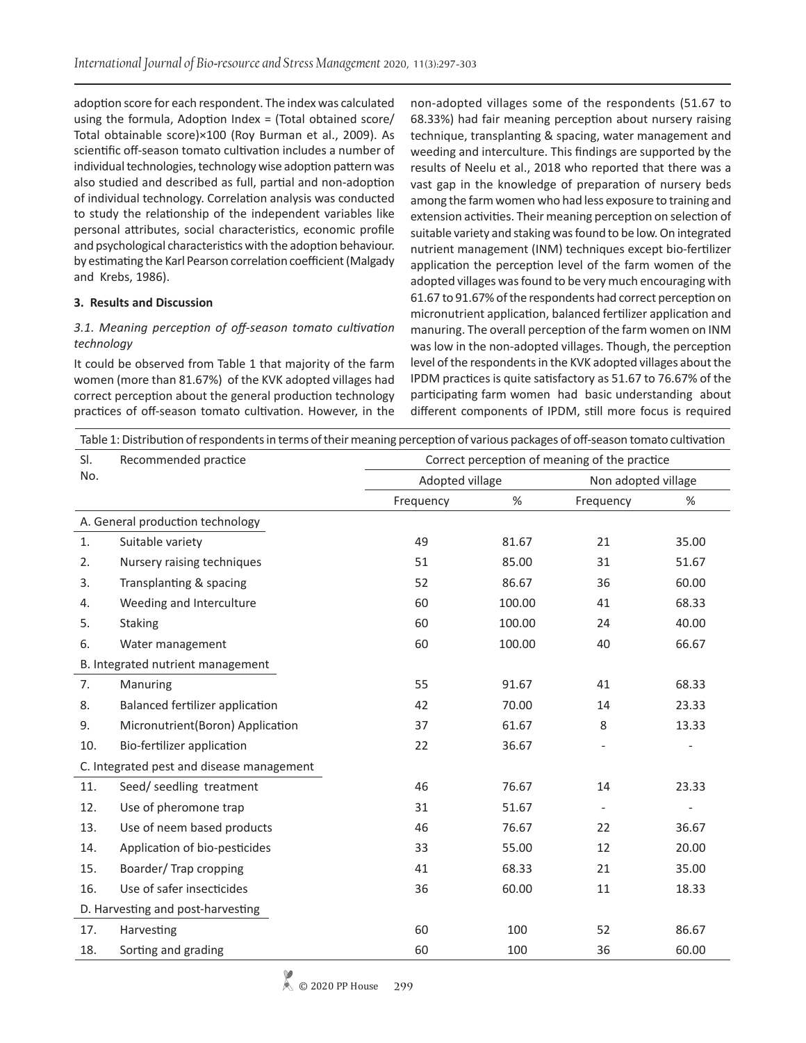adoption score for each respondent. The index was calculated using the formula, Adoption Index = (Total obtained score/ Total obtainable score)×100 (Roy Burman et al., 2009). As scientific off-season tomato cultivation includes a number of individual technologies, technology wise adoption pattern was also studied and described as full, partial and non-adoption of individual technology. Correlation analysis was conducted to study the relationship of the independent variables like personal attributes, social characteristics, economic profile and psychological characteristics with the adoption behaviour. by estimating the Karl Pearson correlation coefficient (Malgady and Krebs, 1986).

## **3. Results and Discussion**

## *3.1. Meaning perception of off-season tomato cultivation technology*

It could be observed from Table 1 that majority of the farm women (more than 81.67%) of the KVK adopted villages had correct perception about the general production technology practices of off-season tomato cultivation. However, in the non-adopted villages some of the respondents (51.67 to 68.33%) had fair meaning perception about nursery raising technique, transplanting & spacing, water management and weeding and interculture. This findings are supported by the results of Neelu et al., 2018 who reported that there was a vast gap in the knowledge of preparation of nursery beds among the farm women who had less exposure to training and extension activities. Their meaning perception on selection of suitable variety and staking was found to be low. On integrated nutrient management (INM) techniques except bio-fertilizer application the perception level of the farm women of the adopted villages was found to be very much encouraging with 61.67 to 91.67% of the respondents had correct perception on micronutrient application, balanced fertilizer application and manuring. The overall perception of the farm women on INM was low in the non-adopted villages. Though, the perception level of the respondents in the KVK adopted villages about the IPDM practices is quite satisfactory as 51.67 to 76.67% of the participating farm women had basic understanding about different components of IPDM, still more focus is required

| Table 1: Distribution of respondents in terms of their meaning perception of various packages of off-season tomato cultivation |                                  |                                               |        |                          |                          |  |  |  |  |
|--------------------------------------------------------------------------------------------------------------------------------|----------------------------------|-----------------------------------------------|--------|--------------------------|--------------------------|--|--|--|--|
| SI.                                                                                                                            | Recommended practice             | Correct perception of meaning of the practice |        |                          |                          |  |  |  |  |
| No.                                                                                                                            |                                  | Adopted village                               |        | Non adopted village      |                          |  |  |  |  |
|                                                                                                                                |                                  | Frequency                                     | $\%$   | Frequency                | %                        |  |  |  |  |
|                                                                                                                                | A. General production technology |                                               |        |                          |                          |  |  |  |  |
| 1.                                                                                                                             | Suitable variety                 | 49                                            | 81.67  | 21                       | 35.00                    |  |  |  |  |
| 2.                                                                                                                             | Nursery raising techniques       | 51                                            | 85.00  | 31                       | 51.67                    |  |  |  |  |
| 3.                                                                                                                             | Transplanting & spacing          | 52                                            | 86.67  | 36                       | 60.00                    |  |  |  |  |
| 4.                                                                                                                             | Weeding and Interculture         | 60                                            | 100.00 | 41                       | 68.33                    |  |  |  |  |
| 5.                                                                                                                             | <b>Staking</b>                   | 60                                            | 100.00 | 24                       | 40.00                    |  |  |  |  |
| 6.                                                                                                                             | Water management                 | 60                                            | 100.00 | 40                       | 66.67                    |  |  |  |  |
| B. Integrated nutrient management                                                                                              |                                  |                                               |        |                          |                          |  |  |  |  |
| 7.                                                                                                                             | Manuring                         | 55                                            | 91.67  | 41                       | 68.33                    |  |  |  |  |
| 8.                                                                                                                             | Balanced fertilizer application  | 42                                            | 70.00  | 14                       | 23.33                    |  |  |  |  |
| 9.                                                                                                                             | Micronutrient(Boron) Application | 37                                            | 61.67  | 8                        | 13.33                    |  |  |  |  |
| 10.                                                                                                                            | Bio-fertilizer application       | 22                                            | 36.67  |                          |                          |  |  |  |  |
| C. Integrated pest and disease management                                                                                      |                                  |                                               |        |                          |                          |  |  |  |  |
| 11.                                                                                                                            | Seed/ seedling treatment         | 46                                            | 76.67  | 14                       | 23.33                    |  |  |  |  |
| 12.                                                                                                                            | Use of pheromone trap            | 31                                            | 51.67  | $\overline{\phantom{0}}$ | $\overline{\phantom{a}}$ |  |  |  |  |
| 13.                                                                                                                            | Use of neem based products       | 46                                            | 76.67  | 22                       | 36.67                    |  |  |  |  |
| 14.                                                                                                                            | Application of bio-pesticides    | 33                                            | 55.00  | 12                       | 20.00                    |  |  |  |  |
| 15.                                                                                                                            | Boarder/Trap cropping            | 41                                            | 68.33  | 21                       | 35.00                    |  |  |  |  |
| 16.                                                                                                                            | Use of safer insecticides        | 36                                            | 60.00  | 11                       | 18.33                    |  |  |  |  |
| D. Harvesting and post-harvesting                                                                                              |                                  |                                               |        |                          |                          |  |  |  |  |
| 17.                                                                                                                            | Harvesting                       | 60                                            | 100    | 52                       | 86.67                    |  |  |  |  |
| 18.                                                                                                                            | Sorting and grading              | 60                                            | 100    | 36                       | 60.00                    |  |  |  |  |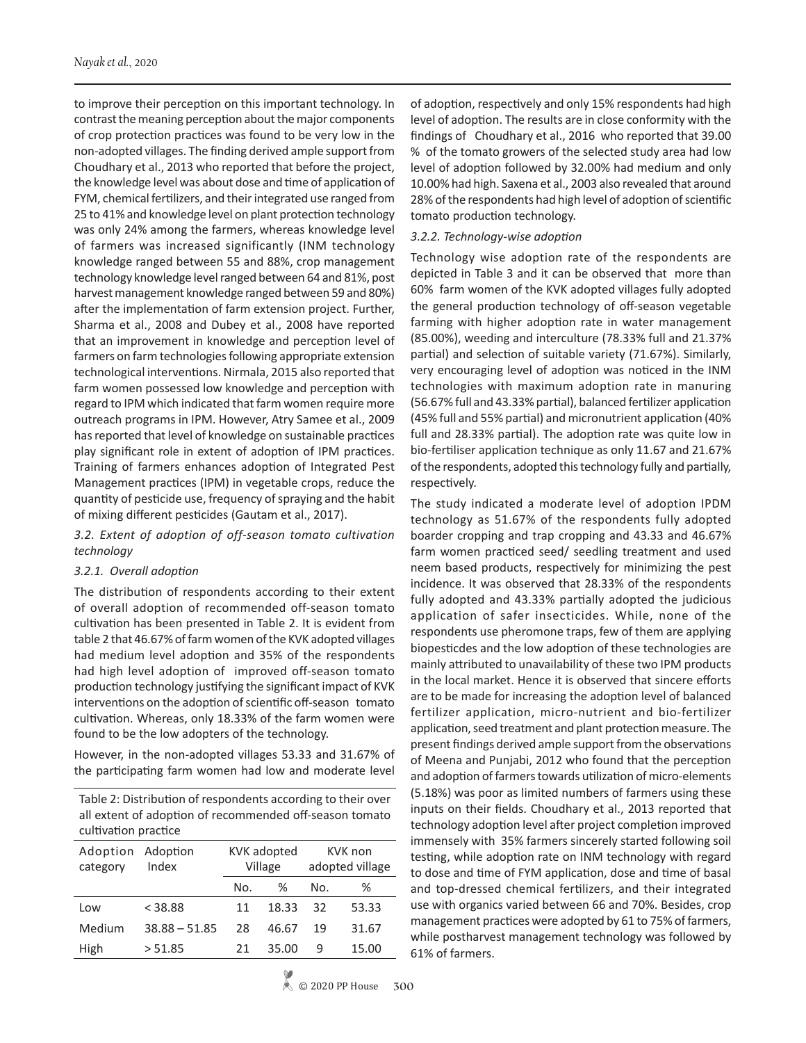to improve their perception on this important technology. In contrast the meaning perception about the major components of crop protection practices was found to be very low in the non-adopted villages. The finding derived ample support from Choudhary et al., 2013 who reported that before the project, the knowledge level was about dose and time of application of FYM, chemical fertilizers, and their integrated use ranged from 25 to 41% and knowledge level on plant protection technology was only 24% among the farmers, whereas knowledge level of farmers was increased significantly (INM technology knowledge ranged between 55 and 88%, crop management technology knowledge level ranged between 64 and 81%, post harvest management knowledge ranged between 59 and 80%) after the implementation of farm extension project. Further, Sharma et al., 2008 and Dubey et al., 2008 have reported that an improvement in knowledge and perception level of farmers on farm technologies following appropriate extension technological interventions. Nirmala, 2015 also reported that farm women possessed low knowledge and perception with regard to IPM which indicated that farm women require more outreach programs in IPM. However, Atry Samee et al., 2009 has reported that level of knowledge on sustainable practices play significant role in extent of adoption of IPM practices. Training of farmers enhances adoption of Integrated Pest Management practices (IPM) in vegetable crops, reduce the quantity of pesticide use, frequency of spraying and the habit of mixing different pesticides (Gautam et al., 2017).

## *3.2. Extent of adoption of off-season tomato cultivation technology*

### *3.2.1. Overall adoption*

The distribution of respondents according to their extent of overall adoption of recommended off-season tomato cultivation has been presented in Table 2. It is evident from table 2 that 46.67% of farm women of the KVK adopted villages had medium level adoption and 35% of the respondents had high level adoption of improved off-season tomato production technology justifying the significant impact of KVK interventions on the adoption of scientific off-season tomato cultivation. Whereas, only 18.33% of the farm women were found to be the low adopters of the technology.

However, in the non-adopted villages 53.33 and 31.67% of the participating farm women had low and moderate level

Table 2: Distribution of respondents according to their over all extent of adoption of recommended off-season tomato cultivation practice

| Adoption<br>category | Adoption<br>Index | KVK adopted<br>Village |       |     | KVK non<br>adopted village |  |  |
|----------------------|-------------------|------------------------|-------|-----|----------------------------|--|--|
|                      |                   | No.                    | ℅     | N٥. | ℅                          |  |  |
| Low                  | < 38.88           | 11                     | 18.33 | 32  | 53.33                      |  |  |
| Medium               | $38.88 - 51.85$   | 28                     | 46.67 | 19  | 31.67                      |  |  |
| High                 | > 51.85           | 21                     | 35.00 | q   | 15.00                      |  |  |

of adoption, respectively and only 15% respondents had high level of adoption. The results are in close conformity with the findings of Choudhary et al., 2016 who reported that 39.00 % of the tomato growers of the selected study area had low level of adoption followed by 32.00% had medium and only 10.00% had high. Saxena et al., 2003 also revealed that around 28% of the respondents had high level of adoption of scientific tomato production technology.

## *3.2.2. Technology-wise adoption*

Technology wise adoption rate of the respondents are depicted in Table 3 and it can be observed that more than 60% farm women of the KVK adopted villages fully adopted the general production technology of off-season vegetable farming with higher adoption rate in water management (85.00%), weeding and interculture (78.33% full and 21.37% partial) and selection of suitable variety (71.67%). Similarly, very encouraging level of adoption was noticed in the INM technologies with maximum adoption rate in manuring (56.67% full and 43.33% partial), balanced fertilizer application (45% full and 55% partial) and micronutrient application (40% full and 28.33% partial). The adoption rate was quite low in bio-fertiliser application technique as only 11.67 and 21.67% of the respondents, adopted this technology fully and partially, respectively.

The study indicated a moderate level of adoption IPDM technology as 51.67% of the respondents fully adopted boarder cropping and trap cropping and 43.33 and 46.67% farm women practiced seed/ seedling treatment and used neem based products, respectively for minimizing the pest incidence. It was observed that 28.33% of the respondents fully adopted and 43.33% partially adopted the judicious application of safer insecticides. While, none of the respondents use pheromone traps, few of them are applying biopesticdes and the low adoption of these technologies are mainly attributed to unavailability of these two IPM products in the local market. Hence it is observed that sincere efforts are to be made for increasing the adoption level of balanced fertilizer application, micro-nutrient and bio-fertilizer application, seed treatment and plant protection measure. The present findings derived ample support from the observations of Meena and Punjabi, 2012 who found that the perception and adoption of farmers towards utilization of micro-elements (5.18%) was poor as limited numbers of farmers using these inputs on their fields. Choudhary et al., 2013 reported that technology adoption level after project completion improved immensely with 35% farmers sincerely started following soil testing, while adoption rate on INM technology with regard to dose and time of FYM application, dose and time of basal and top-dressed chemical fertilizers, and their integrated use with organics varied between 66 and 70%. Besides, crop management practices were adopted by 61 to 75% of farmers, while postharvest management technology was followed by 61% of farmers.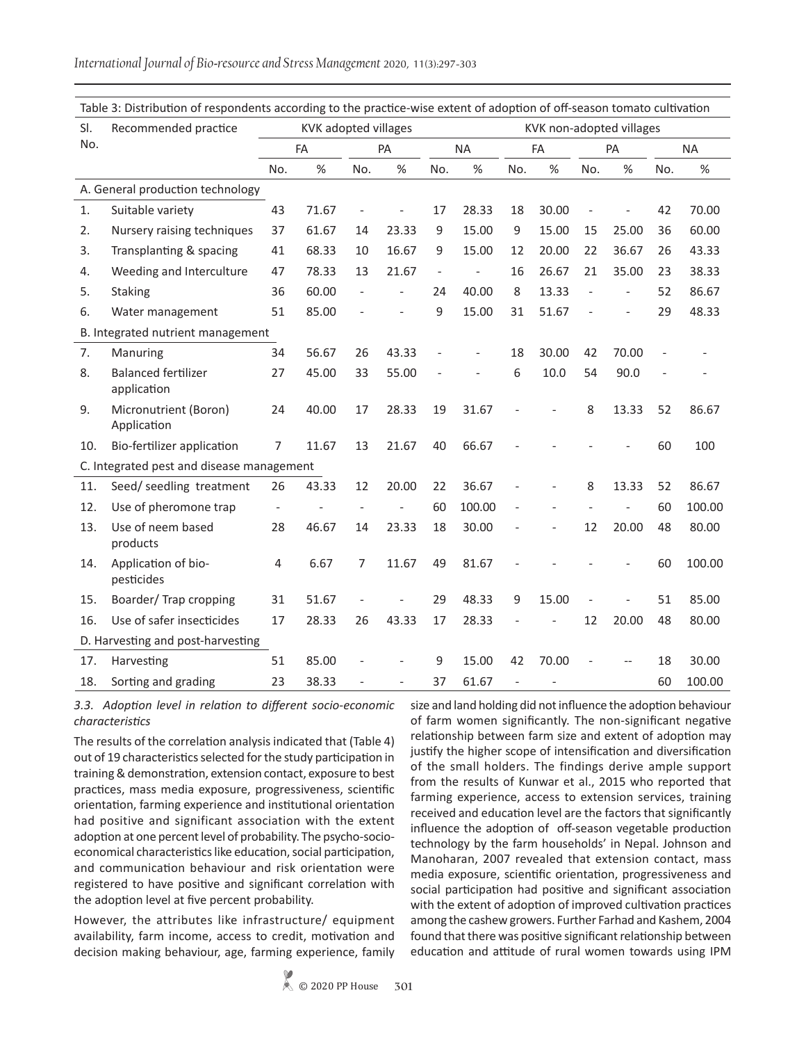*International Journal of Bio-resource and Stress Management* 2020, 11(3):297-303

| nable 3. Distribution or respondents according to the practice wise extent or adoption or on season tomato caltivation |                                           |                                                  |       |     |       |                              |                |                          |       |     |           |     |           |  |
|------------------------------------------------------------------------------------------------------------------------|-------------------------------------------|--------------------------------------------------|-------|-----|-------|------------------------------|----------------|--------------------------|-------|-----|-----------|-----|-----------|--|
| SI.                                                                                                                    | Recommended practice                      | KVK adopted villages<br>KVK non-adopted villages |       |     |       |                              |                |                          |       |     |           |     |           |  |
| No.                                                                                                                    |                                           | FA                                               |       |     | PA    |                              | <b>NA</b>      |                          | FA    |     | <b>PA</b> |     | <b>NA</b> |  |
|                                                                                                                        |                                           | No.                                              | %     | No. | %     | No.                          | %              | No.                      | %     | No. | %         | No. | %         |  |
|                                                                                                                        | A. General production technology          |                                                  |       |     |       |                              |                |                          |       |     |           |     |           |  |
| 1.                                                                                                                     | Suitable variety                          | 43                                               | 71.67 |     |       | 17                           | 28.33          | 18                       | 30.00 |     |           | 42  | 70.00     |  |
| 2.                                                                                                                     | Nursery raising techniques                | 37                                               | 61.67 | 14  | 23.33 | 9                            | 15.00          | 9                        | 15.00 | 15  | 25.00     | 36  | 60.00     |  |
| 3.                                                                                                                     | Transplanting & spacing                   | 41                                               | 68.33 | 10  | 16.67 | 9                            | 15.00          | 12                       | 20.00 | 22  | 36.67     | 26  | 43.33     |  |
| 4.                                                                                                                     | Weeding and Interculture                  | 47                                               | 78.33 | 13  | 21.67 | $\qquad \qquad \blacksquare$ | $\overline{a}$ | 16                       | 26.67 | 21  | 35.00     | 23  | 38.33     |  |
| 5.                                                                                                                     | <b>Staking</b>                            | 36                                               | 60.00 |     |       | 24                           | 40.00          | 8                        | 13.33 |     |           | 52  | 86.67     |  |
| 6.                                                                                                                     | Water management                          | 51                                               | 85.00 |     |       | 9                            | 15.00          | 31                       | 51.67 |     |           | 29  | 48.33     |  |
|                                                                                                                        | B. Integrated nutrient management         |                                                  |       |     |       |                              |                |                          |       |     |           |     |           |  |
| 7.                                                                                                                     | Manuring                                  | 34                                               | 56.67 | 26  | 43.33 |                              |                | 18                       | 30.00 | 42  | 70.00     |     |           |  |
| 8.                                                                                                                     | <b>Balanced fertilizer</b><br>application | 27                                               | 45.00 | 33  | 55.00 |                              |                | 6                        | 10.0  | 54  | 90.0      |     |           |  |
| 9.                                                                                                                     | Micronutrient (Boron)<br>Application      | 24                                               | 40.00 | 17  | 28.33 | 19                           | 31.67          |                          |       | 8   | 13.33     | 52  | 86.67     |  |
| 10.                                                                                                                    | Bio-fertilizer application                | 7                                                | 11.67 | 13  | 21.67 | 40                           | 66.67          |                          |       |     |           | 60  | 100       |  |
| C. Integrated pest and disease management                                                                              |                                           |                                                  |       |     |       |                              |                |                          |       |     |           |     |           |  |
| 11.                                                                                                                    | Seed/ seedling treatment                  | 26                                               | 43.33 | 12  | 20.00 | 22                           | 36.67          |                          |       | 8   | 13.33     | 52  | 86.67     |  |
| 12.                                                                                                                    | Use of pheromone trap                     | $\overline{\phantom{a}}$                         |       |     |       | 60                           | 100.00         |                          |       |     |           | 60  | 100.00    |  |
| 13.                                                                                                                    | Use of neem based<br>products             | 28                                               | 46.67 | 14  | 23.33 | 18                           | 30.00          |                          |       | 12  | 20.00     | 48  | 80.00     |  |
| 14.                                                                                                                    | Application of bio-<br>pesticides         | 4                                                | 6.67  | 7   | 11.67 | 49                           | 81.67          |                          |       |     |           | 60  | 100.00    |  |
| 15.                                                                                                                    | Boarder/Trap cropping                     | 31                                               | 51.67 |     |       | 29                           | 48.33          | 9                        | 15.00 |     |           | 51  | 85.00     |  |
| 16.                                                                                                                    | Use of safer insecticides                 | 17                                               | 28.33 | 26  | 43.33 | 17                           | 28.33          |                          |       | 12  | 20.00     | 48  | 80.00     |  |
| D. Harvesting and post-harvesting                                                                                      |                                           |                                                  |       |     |       |                              |                |                          |       |     |           |     |           |  |
| 17.                                                                                                                    | Harvesting                                | 51                                               | 85.00 |     |       | 9                            | 15.00          | 42                       | 70.00 |     |           | 18  | 30.00     |  |
| 18.                                                                                                                    | Sorting and grading                       | 23                                               | 38.33 |     |       | 37                           | 61.67          | $\overline{\phantom{a}}$ |       |     |           | 60  | 100.00    |  |

Table 3: Distribution of respondents according to the practice-wise extent of adoption of off-season tomato cultivation

*3.3. Adoption level in relation to different socio-economic characteristics*

The results of the correlation analysis indicated that (Table 4) out of 19 characteristics selected for the study participation in training & demonstration, extension contact, exposure to best practices, mass media exposure, progressiveness, scientific orientation, farming experience and institutional orientation had positive and significant association with the extent adoption at one percent level of probability. The psycho-socioeconomical characteristics like education, social participation, and communication behaviour and risk orientation were registered to have positive and significant correlation with the adoption level at five percent probability.

However, the attributes like infrastructure/ equipment availability, farm income, access to credit, motivation and decision making behaviour, age, farming experience, family size and land holding did not influence the adoption behaviour of farm women significantly. The non-significant negative relationship between farm size and extent of adoption may justify the higher scope of intensification and diversification of the small holders. The findings derive ample support from the results of Kunwar et al., 2015 who reported that farming experience, access to extension services, training received and education level are the factors that significantly influence the adoption of off-season vegetable production technology by the farm households' in Nepal. Johnson and Manoharan, 2007 revealed that extension contact, mass media exposure, scientific orientation, progressiveness and social participation had positive and significant association with the extent of adoption of improved cultivation practices among the cashew growers. Further Farhad and Kashem, 2004 found that there was positive significant relationship between education and attitude of rural women towards using IPM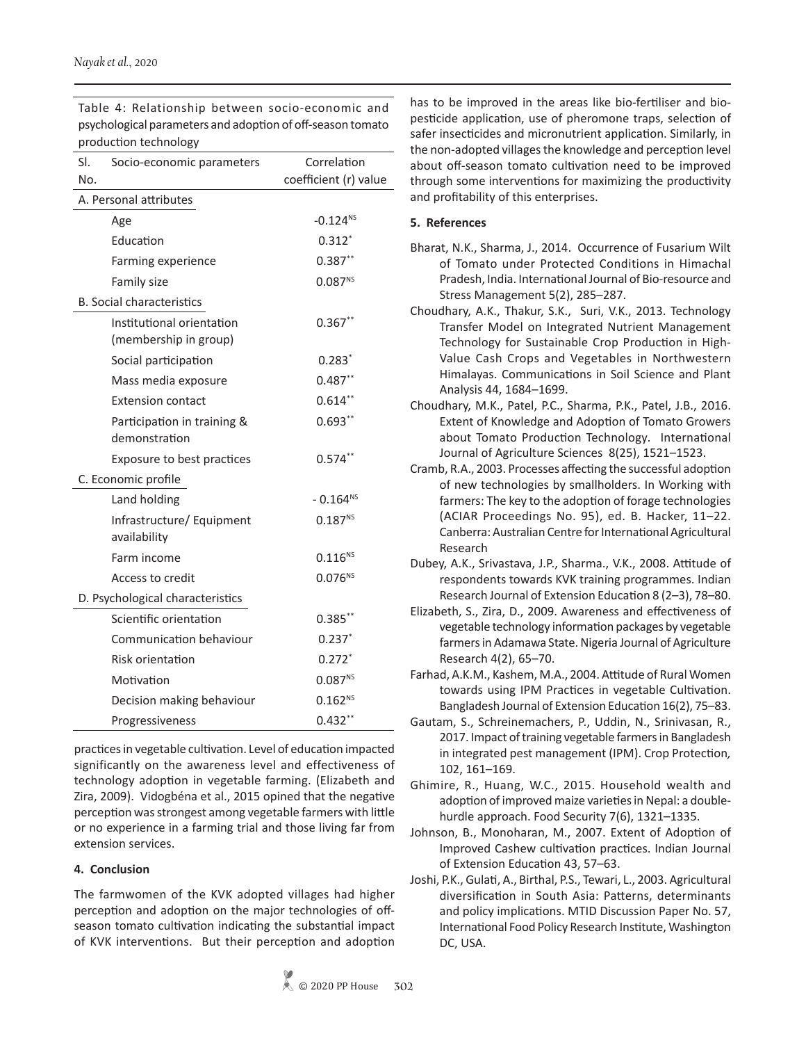|                                  | production technology       |                       |  |  |  |  |  |
|----------------------------------|-----------------------------|-----------------------|--|--|--|--|--|
| SI.                              | Socio-economic parameters   | Correlation           |  |  |  |  |  |
| No.                              |                             | coefficient (r) value |  |  |  |  |  |
| A. Personal attributes           |                             |                       |  |  |  |  |  |
|                                  | Age                         | $-0.124^{NS}$         |  |  |  |  |  |
|                                  | Education                   | $0.312*$              |  |  |  |  |  |
|                                  | Farming experience          | $0.387**$             |  |  |  |  |  |
|                                  | Family size                 | $0.087^{NS}$          |  |  |  |  |  |
| <b>B.</b> Social characteristics |                             |                       |  |  |  |  |  |
|                                  | Institutional orientation   | $0.367**$             |  |  |  |  |  |
|                                  | (membership in group)       |                       |  |  |  |  |  |
|                                  | Social participation        | $0.283*$              |  |  |  |  |  |
|                                  | Mass media exposure         | $0.487**$             |  |  |  |  |  |
|                                  | <b>Extension contact</b>    | $0.614***$            |  |  |  |  |  |
|                                  | Participation in training & | $0.693**$             |  |  |  |  |  |
|                                  | demonstration               |                       |  |  |  |  |  |
|                                  | Exposure to best practices  | $0.574**$             |  |  |  |  |  |
| C. Economic profile              |                             |                       |  |  |  |  |  |
|                                  | Land holding                | $-0.164^{NS}$         |  |  |  |  |  |
|                                  | Infrastructure/ Equipment   | $0.187^{NS}$          |  |  |  |  |  |
|                                  | availability                |                       |  |  |  |  |  |
|                                  | Farm income                 | $0.116^{NS}$          |  |  |  |  |  |
|                                  | Access to credit            | $0.076^{NS}$          |  |  |  |  |  |
| D. Psychological characteristics |                             |                       |  |  |  |  |  |
|                                  | Scientific orientation      | $0.385***$            |  |  |  |  |  |
|                                  | Communication behaviour     | $0.237*$              |  |  |  |  |  |
|                                  | Risk orientation            | $0.272*$              |  |  |  |  |  |
|                                  | Motivation                  | 0.087 <sup>NS</sup>   |  |  |  |  |  |
|                                  | Decision making behaviour   | $0.162^{NS}$          |  |  |  |  |  |
|                                  | Progressiveness             | $0.432**$             |  |  |  |  |  |

Table 4: Relationship between socio-economic and psychological parameters and adoption of off-season tomato production technology

practices in vegetable cultivation. Level of education impacted significantly on the awareness level and effectiveness of technology adoption in vegetable farming. (Elizabeth and Zira, 2009). Vidogbéna et al., 2015 opined that the negative perception was strongest among vegetable farmers with little or no experience in a farming trial and those living far from extension services.

# **4. Conclusion**

The farmwomen of the KVK adopted villages had higher perception and adoption on the major technologies of offseason tomato cultivation indicating the substantial impact of KVK interventions. But their perception and adoption

has to be improved in the areas like bio-fertiliser and biopesticide application, use of pheromone traps, selection of safer insecticides and micronutrient application. Similarly, in the non-adopted villages the knowledge and perception level about off-season tomato cultivation need to be improved through some interventions for maximizing the productivity and profitability of this enterprises.

## **5. References**

- Bharat, N.K., Sharma, J., 2014. Occurrence of Fusarium Wilt of Tomato under Protected Conditions in Himachal Pradesh, India. International Journal of Bio-resource and Stress Management 5(2), 285–287.
- Choudhary, A.K., Thakur, S.K., Suri, V.K., 2013. Technology Transfer Model on Integrated Nutrient Management Technology for Sustainable Crop Production in High-Value Cash Crops and Vegetables in Northwestern Himalayas. Communications in Soil Science and Plant Analysis 44, 1684–1699.
- Choudhary, M.K., Patel, P.C., Sharma, P.K., Patel, J.B., 2016. Extent of Knowledge and Adoption of Tomato Growers about Tomato Production Technology*.* International Journal of Agriculture Sciences8(25), 1521–1523.
- Cramb, R.A., 2003. Processes affecting the successful adoption of new technologies by smallholders. In Working with farmers: The key to the adoption of forage technologies (ACIAR Proceedings No. 95), ed. B. Hacker, 11–22. Canberra: Australian Centre for International Agricultural Research
- Dubey, A.K., Srivastava, J.P., Sharma., V.K., 2008. Attitude of respondents towards KVK training programmes. Indian Research Journal of Extension Education 8 (2–3), 78–80.
- Elizabeth, S., Zira, D., 2009. Awareness and effectiveness of vegetable technology information packages by vegetable farmers in Adamawa State. Nigeria Journal of Agriculture Research 4(2), 65–70.
- Farhad, A.K.M., Kashem, M.A., 2004. Attitude of Rural Women towards using IPM Practices in vegetable Cultivation. Bangladesh Journal of Extension Education 16(2), 75–83.
- Gautam, S., Schreinemachers, P., Uddin, N., Srinivasan, R., 2017. Impact of training vegetable farmers in Bangladesh in integrated pest management (IPM). Crop Protection*,*  102, 161–169.
- Ghimire, R., Huang, W.C., 2015. Household wealth and adoption of improved maize varieties in Nepal: a doublehurdle approach. Food Security 7(6), 1321–1335.
- Johnson, B., Monoharan, M., 2007. Extent of Adoption of Improved Cashew cultivation practices. Indian Journal of Extension Education 43, 57–63.
- Joshi, P.K., Gulati, A., Birthal, P.S., Tewari, L., 2003. Agricultural diversification in South Asia: Patterns, determinants and policy implications. MTID Discussion Paper No. 57, International Food Policy Research Institute, Washington DC, USA.